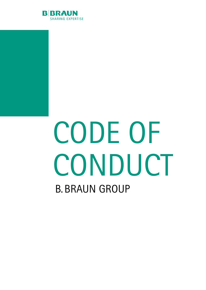

# B. BRAUN GROUP CODE OF **CONDUCT**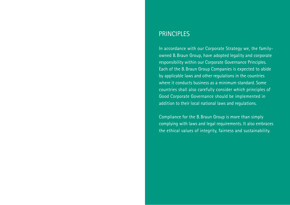### **PRINCIPLES**

In accordance with our Corporate Strategy we, the familyowned B.Braun Group, have adopted legality and corporate responsibility within our Corporate Governance Principles. Each of the B.Braun Group Companies is expected to abide by applicable laws and other regulations in the countries where it conducts business as a minimum standard. Some countries shall also carefully consider which principles of Good Corporate Governance should be implemented in addition to their local national laws and regulations.

Compliance for the B.Braun Group is more than simply complying with laws and legal requirements. It also embraces the ethical values of integrity, fairness and sustainability.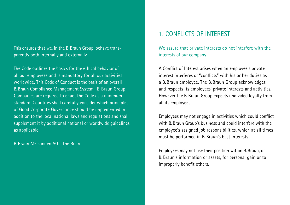This ensures that we, in the B.Braun Group, behave transparently both internally and externally.

The Code outlines the basics for the ethical behavior of all our employees and is mandatory for all our activities worldwide. This Code of Conduct is the basis of an overall B.Braun Compliance Management System. B.Braun Group Companies are required to enact the Code as a minimum standard. Countries shall carefully consider which principles of Good Corporate Governance should be implemented in addition to the local national laws and regulations and shall supplement it by additional national or worldwide guidelines as applicable.

B.Braun Melsungen AG - The Board

# 1. CONFLICTS OF INTEREST

We assure that private interests do not interfere with the interests of our company.

A Conflict of Interest arises when an employee's private interest interferes or "conflicts" with his or her duties as a B. Braun employee. The B. Braun Group acknowledges and respects its employees' private interests and activities. However the B.Braun Group expects undivided loyalty from all its employees.

Employees may not engage in activities which could conflict with B.Braun Group's business and could interfere with the employee's assigned job responsibilities, which at all times must be performed in B. Braun's best interests.

Employees may not use their position within B.Braun, or B. Braun's information or assets, for personal gain or to improperly benefit others.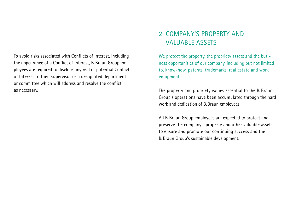To avoid risks associated with Conflicts of Interest, including the appearance of a Conflict of Interest, B.Braun Group employees are required to disclose any real or potential Conflict of Interest to their supervisor or a designated department or committee which will address and resolve the conflict as necessary.

# 2. COMPANY'S PROPERTY AND VALUABLE ASSETS

We protect the property, the propriety assets and the business opportunities of our company, including but not limited to, know-how, patents, trademarks, real estate and work equipment.

The property and propriety values essential to the B. Braun Group's operations have been accumulated through the hard work and dedication of B.Braun employees.

All B.Braun Group employees are expected to protect and preserve the company's property and other valuable assets to ensure and promote our continuing success and the B.Braun Group's sustainable development.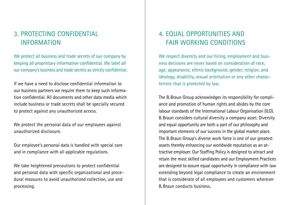# 3. PROTECTING CONFIDENTIAL INFORMATION

We protect all business and trade secrets of our company by keeping all proprietary information confidential. We label all our company's business and trade secrets as strictly confidential.

If we have a need to disclose confidential information to our business partners we require them to keep such information confidential. All documents and other data media which include business or trade secrets shall be specially secured to protect against any unauthorized access.

We protect the personal data of our employees against unauthorized disclosure.

Our employee's personal data is handled with special care and in compliance with all applicable regulations.

We take heightened precautions to protect confidential and personal data with specific organizational and procedural measures to avoid unauthorized collection, use and processing.

# 4. EQUAL OPPORTUNITIES AND FAIR WORKING CONDITIONS

We respect diversity and our hiring, employment and business decisions are never based on consideration of race, age, appearance, ethnic background, gender, religion, and ideology, disability, sexual orientation or any other characteristic that is protected by law.

The B.Braun Group acknowledges its responsibility for compliance and promotion of human rights and abides by the core labour standards of the International Labour Organisation (ILO). B.Braun considers cultural diversity a company asset. Diversity and equal opportunity are both a part of our philosophy and important elements of our success in the global market place. The B.Braun Group's diverse work force is one of our greatest assets thereby enhancing our worldwide reputation as an attractive employer. Our Staffing Policy is designed to attract and retain the most skilled candidates and our Employment Practices are designed to assure equal opportunity in compliance with law extending beyond legal compliance to create an environment that is considerate of all employees and customers wherever B.Braun conducts business.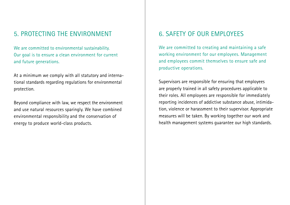# 5. PROTECTING THE ENVIRONMENT 6. SAFETY OF OUR EMPLOYEES

We are committed to environmental sustainability. Our goal is to ensure a clean environment for current and future generations.

At a minimum we comply with all statutory and international standards regarding regulations for environmental protection.

Beyond compliance with law, we respect the environment and use natural resources sparingly. We have combined environmental responsibility and the conservation of energy to produce world-class products.

We are committed to creating and maintaining a safe working environment for our employees. Management and employees commit themselves to ensure safe and productive operations.

Supervisors are responsible for ensuring that employees are properly trained in all safety procedures applicable to their roles. All employees are responsible for immediately reporting incidences of addictive substance abuse, intimidation, violence or harassment to their supervisor. Appropriate measures will be taken. By working together our work and health management systems guarantee our high standards.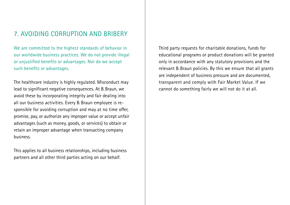### 7. AVOIDING CORRUPTION AND BRIBERY

We are committed to the highest standards of behavior in our worldwide business practices. We do not provide illegal or unjustified benefits or advantages. Nor do we accept such benefits or advantages.

The healthcare industry is highly regulated. Misconduct may lead to significant negative consequences. At B.Braun, we avoid these by incorporating integrity and fair dealing into all our business activities. Every B. Braun employee is responsible for avoiding corruption and may at no time offer, promise, pay, or authorize any improper value or accept unfair advantages (such as money, goods, or services) to obtain or retain an improper advantage when transacting company business.

This applies to all business relationships, including business partners and all other third parties acting on our behalf.

Third party requests for charitable donations, funds for educational programs or product donations will be granted only in accordance with any statutory provisions and the relevant B. Braun policies. By this we ensure that all grants are independent of business pressure and are documented, transparent and comply with Fair Market Value. If we cannot do something fairly we will not do it at all.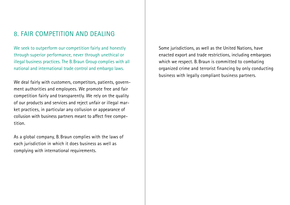## 8. FAIR COMPETITION AND DEALING

We seek to outperform our competition fairly and honestly through superior performance, never through unethical or illegal business practices. The B.Braun Group complies with all national and international trade control and embargo laws.

We deal fairly with customers, competitors, patients, government authorities and employees. We promote free and fair competition fairly and transparently. We rely on the quality of our products and services and reject unfair or illegal market practices, in particular any collusion or appearance of collusion with business partners meant to affect free competition.

As a global company, B. Braun complies with the laws of each jurisdiction in which it does business as well as complying with international requirements.

Some jurisdictions, as well as the United Nations, have enacted export and trade restrictions, including embargoes which we respect. B. Braun is committed to combating organized crime and terrorist financing by only conducting business with legally compliant business partners.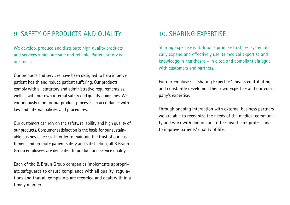## 9. SAFETY OF PRODUCTS AND OUALITY

We develop, produce and distribute high quality products and services which are safe and reliable. Patient safety is our focus.

Our products and services have been designed to help improve patient health and reduce patient suffering. Our products comply with all statutory and administrative requirements as well as with our own internal safety and quality guidelines. We continuously monitor our product processes in accordance with law and internal policies and procedures.

Our customers can rely on the safety, reliability and high quality of our products. Consumer satisfaction is the basis for our sustainable business success. In order to maintain the trust of our customers and promote patient safety and satisfaction, all B.Braun Group employees are dedicated to product and service quality.

Each of the B.Braun Group companies implements appropriate safeguards to ensure compliance with all quality regulations and that all complaints are recorded and dealt with in a timely manner.

# 10. SHARING EXPERTISE

Sharing Expertise is B.Braun's promise to share, systematically expand and effectively use its medical expertise and knowledge in healthcare – in close and compliant dialogue with customers and partners.

For our employees, "Sharing Expertise" means contributing and constantly developing their own expertise and our company's expertise.

Through ongoing interaction with external business partners we are able to recognize the needs of the medical community and work with doctors and other healthcare professionals to improve patients' quality of life.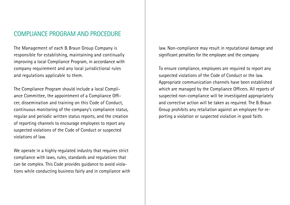### COMPLIANCE PROGRAM AND PROCEDURE

The Management of each B. Braun Group Company is responsible for establishing, maintaining and continually improving a local Compliance Program, in accordance with company requirement and any local jurisdictional rules and regulations applicable to them.

The Compliance Program should include a local Compliance Committee, the appointment of a Compliance Officer, dissemination and training on this Code of Conduct, continuous monitoring of the company's compliance status, regular and periodic written status reports, and the creation of reporting channels to encourage employees to report any suspected violations of the Code of Conduct or suspected violations of law.

We operate in a highly regulated industry that requires strict compliance with laws, rules, standards and regulations that can be complex. This Code provides guidance to avoid violations while conducting business fairly and in compliance with law. Non-compliance may result in reputational damage and significant penalties for the employee and the company.

To ensure compliance, employees are required to report any suspected violations of the Code of Conduct or the law. Appropriate communication channels have been established which are managed by the Compliance Officers. All reports of suspected non-compliance will be investigated appropriately and corrective action will be taken as required. The B.Braun Group prohibits any retaliation against an employee for reporting a violation or suspected violation in good faith.